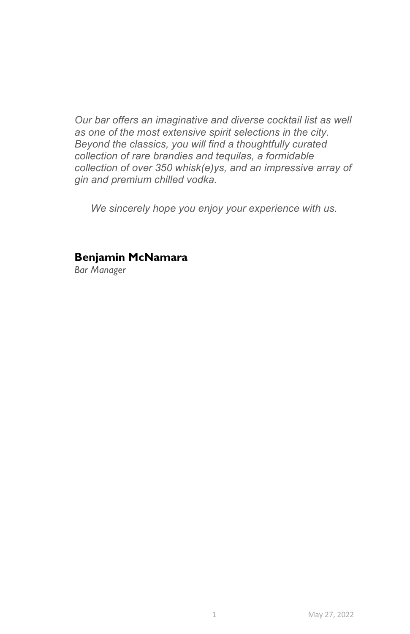Our bar offers an imaginative and diverse cocktail list as well as one of the most extensive spirit selections in the city. Beyond the classics, you will find a thoughtfully curated collection of rare brandies and tequilas, a formidable collection of over 350 whisk(e)ys, and an impressive array of gin and premium chilled vodka.

We sincerely hope you enjoy your experience with us.

## Benjamin McNamara

Bar Manager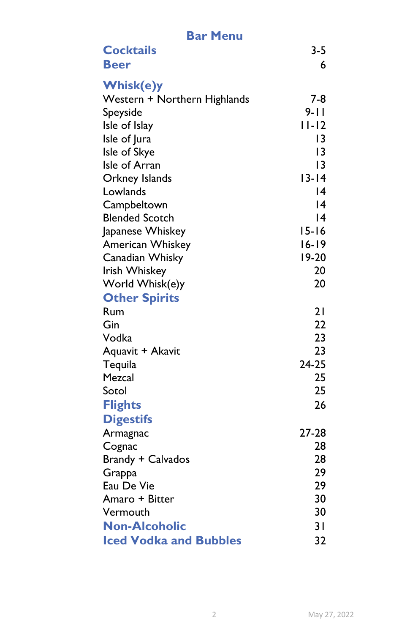| <b>Bar Menu</b>               |                      |  |
|-------------------------------|----------------------|--|
| <b>Cocktails</b>              | $3 - 5$              |  |
| <b>Beer</b>                   | 6                    |  |
|                               |                      |  |
| <b>Whisk(e)y</b>              |                      |  |
| Western + Northern Highlands  | $7-8$                |  |
| Speyside                      | $9 - 11$             |  |
| Isle of Islay                 | $11-12$              |  |
| Isle of Jura                  | 13                   |  |
| Isle of Skye                  | $\overline{3}$<br> 3 |  |
| Isle of Arran                 | $13 - 14$            |  |
| Orkney Islands<br>Lowlands    | 14                   |  |
| Campbeltown                   | 14                   |  |
| <b>Blended Scotch</b>         | 14                   |  |
| Japanese Whiskey              | $15 - 16$            |  |
| American Whiskey              | $16 - 19$            |  |
| Canadian Whisky               | 19-20                |  |
| Irish Whiskey                 | 20                   |  |
| World Whisk(e)y               | 20                   |  |
| <b>Other Spirits</b>          |                      |  |
| Rum                           | 21                   |  |
| Gin                           | 22                   |  |
| Vodka                         | 23                   |  |
| Aquavit + Akavit              | 23                   |  |
| Tequila                       | $24-25$              |  |
| Mezcal                        | 25                   |  |
| Sotol                         | 25                   |  |
| <b>Flights</b>                | 26                   |  |
| <b>Digestifs</b>              |                      |  |
| Armagnac                      | 27-28                |  |
| Cognac                        | 28                   |  |
| <b>Brandy + Calvados</b>      | 28                   |  |
| Grappa                        | 29                   |  |
| Eau De Vie                    | 29                   |  |
| Amaro + Bitter                | 30                   |  |
| Vermouth                      | 30                   |  |
| <b>Non-Alcoholic</b>          | 31                   |  |
| <b>Iced Vodka and Bubbles</b> | 32                   |  |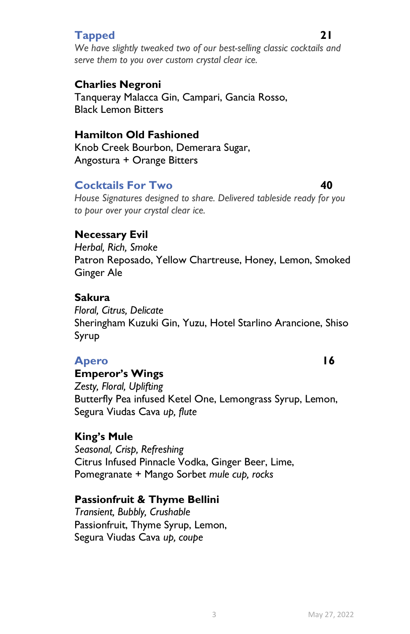# Tapped 21

We have slightly tweaked two of our best-selling classic cocktails and serve them to you over custom crystal clear ice.

# Charlies Negroni

Tanqueray Malacca Gin, Campari, Gancia Rosso, Black Lemon Bitters

## Hamilton Old Fashioned

Knob Creek Bourbon, Demerara Sugar, Angostura + Orange Bitters

# **Cocktails For Two 40**

House Signatures designed to share. Delivered tableside ready for you to pour over your crystal clear ice.

# Necessary Evil

Herbal, Rich, Smoke Patron Reposado, Yellow Chartreuse, Honey, Lemon, Smoked Ginger Ale

### Sakura

Floral, Citrus, Delicate Sheringham Kuzuki Gin, Yuzu, Hotel Starlino Arancione, Shiso Syrup

## Apero 16

# Emperor's Wings

Zesty, Floral, Uplifting Butterfly Pea infused Ketel One, Lemongrass Syrup, Lemon, Segura Viudas Cava up, flute

### King's Mule

Seasonal, Crisp, Refreshing Citrus Infused Pinnacle Vodka, Ginger Beer, Lime, Pomegranate + Mango Sorbet mule cup, rocks

### Passionfruit & Thyme Bellini

Transient, Bubbly, Crushable Passionfruit, Thyme Syrup, Lemon, Segura Viudas Cava up, coupe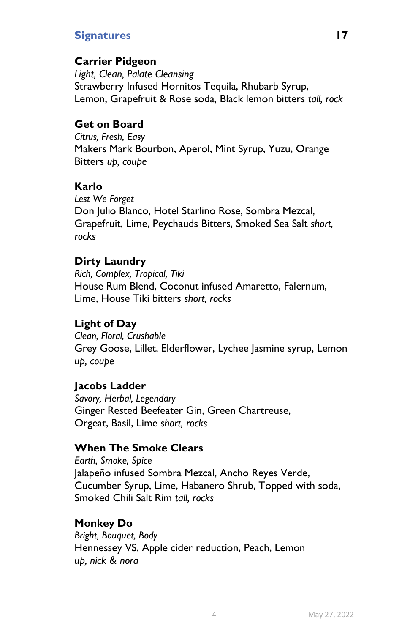# Signatures 17

# Carrier Pidgeon

Light, Clean, Palate Cleansing Strawberry Infused Hornitos Tequila, Rhubarb Syrup, Lemon, Grapefruit & Rose soda, Black lemon bitters tall, rock

## Get on Board

Citrus, Fresh, Easy Makers Mark Bourbon, Aperol, Mint Syrup, Yuzu, Orange Bitters up, coupe

## Karlo

Lest We Forget Don Julio Blanco, Hotel Starlino Rose, Sombra Mezcal, Grapefruit, Lime, Peychauds Bitters, Smoked Sea Salt short, rocks

# Dirty Laundry

Rich, Complex, Tropical, Tiki House Rum Blend, Coconut infused Amaretto, Falernum, Lime, House Tiki bitters short, rocks

# Light of Day

Clean, Floral, Crushable Grey Goose, Lillet, Elderflower, Lychee Jasmine syrup, Lemon up, coupe

### Jacobs Ladder

Savory, Herbal, Legendary Ginger Rested Beefeater Gin, Green Chartreuse, Orgeat, Basil, Lime short, rocks

# When The Smoke Clears

Earth, Smoke, Spice Jalapeño infused Sombra Mezcal, Ancho Reyes Verde, Cucumber Syrup, Lime, Habanero Shrub, Topped with soda, Smoked Chili Salt Rim tall, rocks

# Monkey Do

Bright, Bouquet, Body Hennessey VS, Apple cider reduction, Peach, Lemon up, nick & nora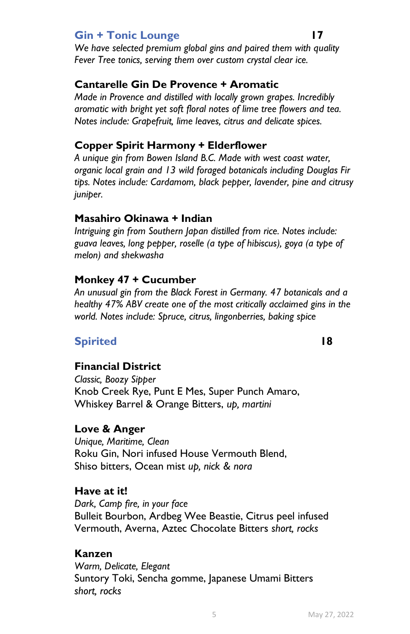## Gin + Tonic Lounge 17

We have selected premium global gins and paired them with quality Fever Tree tonics, serving them over custom crystal clear ice.

## Cantarelle Gin De Provence + Aromatic

Made in Provence and distilled with locally grown grapes. Incredibly aromatic with bright yet soft floral notes of lime tree flowers and tea. Notes include: Grapefruit, lime leaves, citrus and delicate spices.

## Copper Spirit Harmony + Elderflower

A unique gin from Bowen Island B.C. Made with west coast water, organic local grain and 13 wild foraged botanicals including Douglas Fir tips. Notes include: Cardamom, black pepper, lavender, pine and citrusy juniper.

#### Masahiro Okinawa + Indian

Intriguing gin from Southern Japan distilled from rice. Notes include: guava leaves, long pepper, roselle (a type of hibiscus), goya (a type of melon) and shekwasha

#### Monkey 47 + Cucumber

An unusual gin from the Black Forest in Germany. 47 botanicals and a healthy 47% ABV create one of the most critically acclaimed gins in the world. Notes include: Spruce, citrus, lingonberries, baking spice

# Spirited 18

### Financial District

Classic, Boozy Sipper Knob Creek Rye, Punt E Mes, Super Punch Amaro, Whiskey Barrel & Orange Bitters, up, martini

#### Love & Anger

Unique, Maritime, Clean Roku Gin, Nori infused House Vermouth Blend, Shiso bitters, Ocean mist up, nick & nora

#### Have at it!

Dark, Camp fire, in your face Bulleit Bourbon, Ardbeg Wee Beastie, Citrus peel infused Vermouth, Averna, Aztec Chocolate Bitters short, rocks

### Kanzen

Warm, Delicate, Elegant Suntory Toki, Sencha gomme, Japanese Umami Bitters short, rocks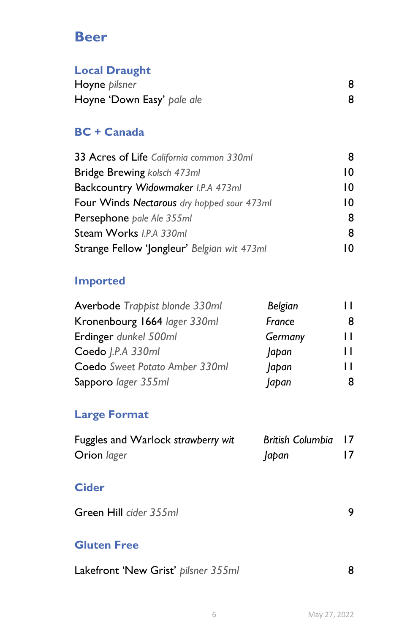# Beer

# Local Draught

| Hoyne pilsner              |  |
|----------------------------|--|
| Hoyne 'Down Easy' pale ale |  |

# BC + Canada

| 33 Acres of Life California common 330ml    |    |
|---------------------------------------------|----|
| Bridge Brewing kolsch 473ml                 | 10 |
| Backcountry Widowmaker I.P.A 473ml          | 10 |
| Four Winds Nectarous dry hopped sour 473ml  | 10 |
| Persephone pale Ale 355ml                   | 8  |
| Steam Works I.P.A 330ml                     | 8  |
| Strange Fellow 'Jongleur' Belgian wit 473ml |    |

# Imported

| Averbode Trappist blonde 330ml | Belgian |     |
|--------------------------------|---------|-----|
| Kronenbourg 1664 lager 330ml   | France  |     |
| Erdinger dunkel 500ml          | Germany | Н   |
| Coedo   P.A 330ml              | Japan   | ш   |
| Coedo Sweet Potato Amber 330ml | Japan   | 1 I |
| Sapporo lager 355ml            | Japan   |     |

# Large Format

| Fuggles and Warlock strawberry wit | <b>British Columbia</b> 17 |  |
|------------------------------------|----------------------------|--|
| Orion lager                        | apan                       |  |

# **Cider**

Green Hill cider 355ml 9

# Gluten Free

| Lakefront 'New Grist' pilsner 355ml |  |  |
|-------------------------------------|--|--|
|-------------------------------------|--|--|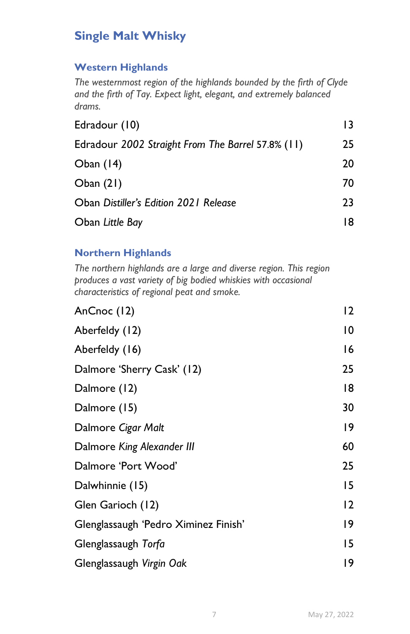# Single Malt Whisky

## Western Highlands

The westernmost region of the highlands bounded by the firth of Clyde and the firth of Tay. Expect light, elegant, and extremely balanced drams.

| Edradour (10)                                     | 13 |
|---------------------------------------------------|----|
| Edradour 2002 Straight From The Barrel 57.8% (11) | 25 |
| Oban $(14)$                                       | 20 |
| Oban $(21)$                                       | 70 |
| Oban Distiller's Edition 2021 Release             | 23 |
| Oban Little Bay                                   | 18 |

# Northern Highlands

The northern highlands are a large and diverse region. This region produces a vast variety of big bodied whiskies with occasional characteristics of regional peat and smoke.

| AnCnoc (12)                          | 12 |
|--------------------------------------|----|
| Aberfeldy (12)                       | 10 |
| Aberfeldy (16)                       | 16 |
| Dalmore 'Sherry Cask' (12)           | 25 |
| Dalmore (12)                         | 18 |
| Dalmore (15)                         | 30 |
| Dalmore Cigar Malt                   | 19 |
| Dalmore King Alexander III           | 60 |
| Dalmore 'Port Wood'                  | 25 |
| Dalwhinnie (15)                      | 15 |
| Glen Garioch (12)                    | 12 |
| Glenglassaugh 'Pedro Ximinez Finish' | 19 |
| Glenglassaugh Torfa                  | 15 |
| Glenglassaugh Virgin Oak             | 19 |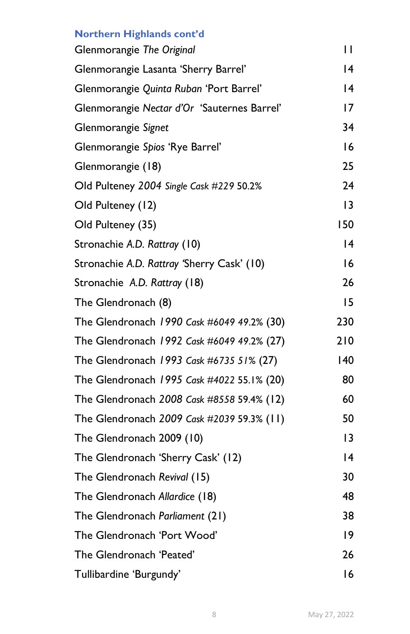| Northern Highlands cont'd                   |                 |
|---------------------------------------------|-----------------|
| Glenmorangie The Original                   | П               |
| Glenmorangie Lasanta 'Sherry Barrel'        | 14              |
| Glenmorangie Quinta Ruban 'Port Barrel'     | $\overline{14}$ |
| Glenmorangie Nectar d'Or 'Sauternes Barrel' | 17              |
| Glenmorangie Signet                         | 34              |
| Glenmorangie Spios 'Rye Barrel'             | 16              |
| Glenmorangie (18)                           | 25              |
| Old Pulteney 2004 Single Cask #229 50.2%    | 24              |
| Old Pulteney (12)                           | 3               |
| Old Pulteney (35)                           | 150             |
| Stronachie A.D. Rattray (10)                | 14              |
| Stronachie A.D. Rattray 'Sherry Cask' (10)  | 16              |
| Stronachie A.D. Rattray (18)                | 26              |
| The Glendronach (8)                         | 15              |
| The Glendronach 1990 Cask #6049 49.2% (30)  | 230             |
| The Glendronach 1992 Cask #6049 49.2% (27)  | 210             |
| The Glendronach 1993 Cask #6735 51% (27)    | 140             |
| The Glendronach 1995 Cask #4022 55.1% (20)  | 80              |
| The Glendronach 2008 Cask #8558 59.4% (12)  | 60              |
| The Glendronach 2009 Cask #2039 59.3% (11)  | 50              |
| The Glendronach 2009 (10)                   | 3               |
| The Glendronach 'Sherry Cask' (12)          | $\overline{14}$ |
| The Glendronach Revival (15)                | 30              |
| The Glendronach Allardice (18)              | 48              |
| The Glendronach Parliament (21)             | 38              |
| The Glendronach 'Port Wood'                 | 19              |
| The Glendronach 'Peated'                    | 26              |
| Tullibardine 'Burgundy'                     | 16              |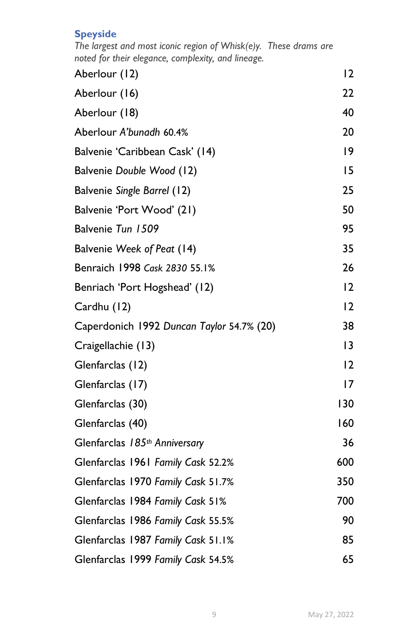## **Speyside**

The largest and most iconic region of Whisk(e)y. These drams are noted for their elegance, complexity, and lineage.

| Aberlour (12)                             | 12  |
|-------------------------------------------|-----|
| Aberlour (16)                             | 22  |
| Aberlour (18)                             | 40  |
| Aberlour A'bunadh 60.4%                   | 20  |
| Balvenie 'Caribbean Cask' (14)            | 9   |
| Balvenie Double Wood (12)                 | 15  |
| Balvenie Single Barrel (12)               | 25  |
| Balvenie 'Port Wood' (21)                 | 50  |
| Balvenie Tun 1509                         | 95  |
| Balvenie Week of Peat (14)                | 35  |
| Benraich 1998 Cask 2830 55.1%             | 26  |
| Benriach 'Port Hogshead' (12)             | 12  |
| Cardhu (12)                               | 12  |
| Caperdonich 1992 Duncan Taylor 54.7% (20) | 38  |
| Craigellachie (13)                        | 3   |
| Glenfarclas (12)                          | 2   |
| Glenfarclas (17)                          | 17  |
| Glenfarclas (30)                          | 130 |
| Glenfarclas (40)                          | 160 |
| Glenfarclas 185th Anniversary             | 36  |
| Glenfarclas 1961 Family Cask 52.2%        | 600 |
| Glenfarclas 1970 Family Cask 51.7%        | 350 |
| Glenfarclas 1984 Family Cask 51%          | 700 |
| Glenfarclas 1986 Family Cask 55.5%        | 90  |
| Glenfarclas 1987 Family Cask 51.1%        | 85  |
| Glenfarclas 1999 Family Cask 54.5%        | 65  |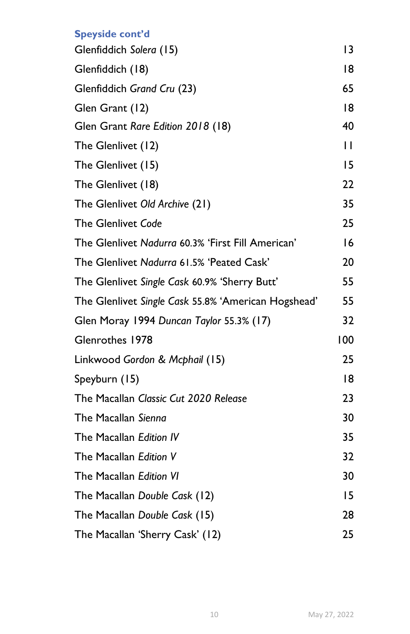# Speyside cont'd Glenfiddich Solera (15) 13 Glenfiddich (18) 18 Glenfiddich Grand Cru (23) 65 Glen Grant (12) 18 Glen Grant Rare Edition 2018 (18) 40 The Glenlivet (12) 11 The Glenlivet (15) 15 The Glenlivet (18) 22 The Glenlivet Old Archive (21) 35 The Glenlivet Code 25 The Glenlivet Nadurra 60.3% 'First Fill American' 16 The Glenlivet Nadurra 61.5% 'Peated Cask' 20 The Glenlivet Single Cask 60.9% 'Sherry Butt' 55 The Glenlivet Single Cask 55.8% 'American Hogshead' 55 Glen Moray 1994 Duncan Taylor 55.3% (17) 32 Glenrothes 1978 100 Linkwood Gordon & Mcphail (15) 25 Speyburn (15) 18 The Macallan Classic Cut 2020 Release 23 The Macallan Sienna 30 The Macallan *Edition IV* 35 The Macallan Edition V 32 The Macallan Edition VI 30 The Macallan Double Cask (12) 15 The Macallan Double Cask (15) 28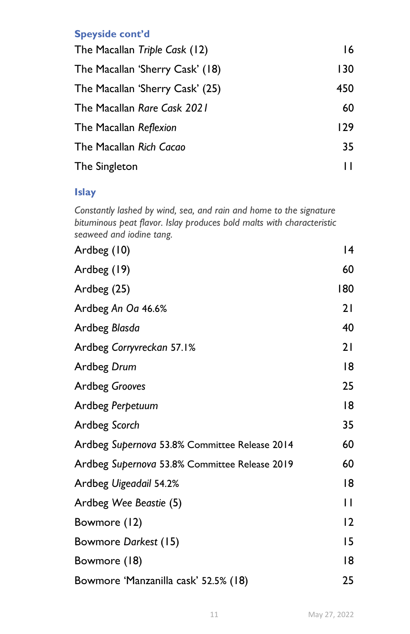## Speyside cont'd

| The Macallan Triple Cask (12)   | 16  |
|---------------------------------|-----|
| The Macallan 'Sherry Cask' (18) | 130 |
| The Macallan 'Sherry Cask' (25) | 450 |
| The Macallan Rare Cask 2021     | 60  |
| The Macallan Reflexion          | 129 |
| The Macallan Rich Cacao         | 35  |
| The Singleton                   |     |

# Islay

Constantly lashed by wind, sea, and rain and home to the signature bituminous peat flavor. Islay produces bold malts with characteristic seaweed and iodine tang.

| Ardbeg (10)                                   | 14             |
|-----------------------------------------------|----------------|
| Ardbeg (19)                                   | 60             |
| Ardbeg (25)                                   | 180            |
| Ardbeg An Oa 46.6%                            | 21             |
| Ardbeg Blasda                                 | 40             |
| Ardbeg Corryvreckan 57.1%                     | 21             |
| Ardbeg Drum                                   | 18             |
| <b>Ardbeg Grooves</b>                         | 25             |
| Ardbeg Perpetuum                              | 18             |
| Ardbeg Scorch                                 | 35             |
| Ardbeg Supernova 53.8% Committee Release 2014 | 60             |
| Ardbeg Supernova 53.8% Committee Release 2019 | 60             |
| Ardbeg Uigeadail 54.2%                        | 18             |
| Ardbeg Wee Beastie (5)                        | П              |
| Bowmore (12)                                  | $\overline{2}$ |
| Bowmore Darkest (15)                          | 15             |
| Bowmore (18)                                  | 18             |
| Bowmore 'Manzanilla cask' 52.5% (18)          | 25             |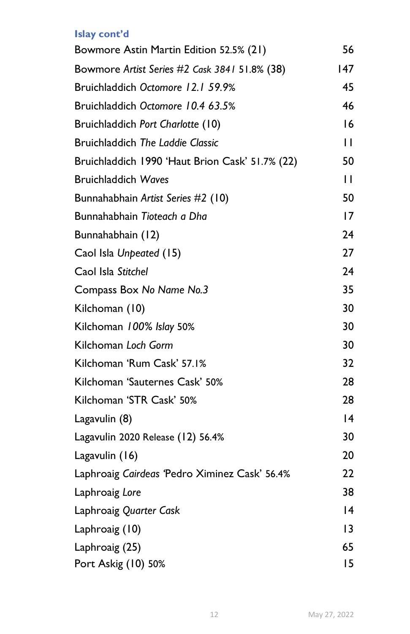# Islay cont'd

| Bowmore Astin Martin Edition 52.5% (21)         | 56           |
|-------------------------------------------------|--------------|
| Bowmore Artist Series #2 Cask 3841 51.8% (38)   | 147          |
| Bruichladdich Octomore 12.1 59.9%               | 45           |
| Bruichladdich Octomore 10.4 63.5%               | 46           |
| Bruichladdich Port Charlotte (10)               | 16           |
| <b>Bruichladdich The Laddie Classic</b>         | H            |
| Bruichladdich 1990 'Haut Brion Cask' 51.7% (22) | 50           |
| <b>Bruichladdich Waves</b>                      | $\mathbf{H}$ |
| Bunnahabhain Artist Series #2 (10)              | 50           |
| Bunnahabhain Tioteach a Dha                     | 17           |
| Bunnahabhain (12)                               | 24           |
| Caol Isla Unpeated (15)                         | 27           |
| Caol Isla Stitchel                              | 24           |
| Compass Box No Name No.3                        | 35           |
| Kilchoman (10)                                  | 30           |
| Kilchoman 100% Islay 50%                        | 30           |
| Kilchoman Loch Gorm                             | 30           |
| Kilchoman 'Rum Cask' 57.1%                      | 32           |
| Kilchoman 'Sauternes Cask' 50%                  | 28           |
| Kilchoman 'STR Cask' 50%                        | 28           |
| Lagavulin (8)                                   | 4            |
| Lagavulin 2020 Release (12) 56.4%               | 30           |
| Lagavulin (16)                                  | 20           |
| Laphroaig Cairdeas 'Pedro Ximinez Cask' 56.4%   | 22           |
| Laphroaig Lore                                  | 38           |
| Laphroaig Quarter Cask                          | 4            |
| Laphroaig (10)                                  | 13           |
| Laphroaig (25)                                  | 65           |
| Port Askig (10) 50%                             | 15           |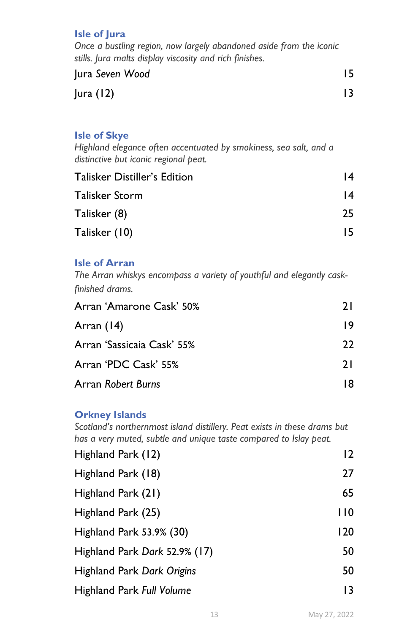#### Isle of Jura

Once a bustling region, now largely abandoned aside from the iconic stills. Jura malts display viscosity and rich finishes.

| Jura Seven Wood |  |
|-----------------|--|
| Jura $(12)$     |  |

#### Isle of Skye

Highland elegance often accentuated by smokiness, sea salt, and a distinctive but iconic regional peat.

| <b>Talisker Distiller's Edition</b> | 14 |
|-------------------------------------|----|
| Talisker Storm                      | 14 |
| Talisker (8)                        | 25 |
| Talisker (10)                       | 15 |

#### Isle of Arran

The Arran whiskys encompass a variety of youthful and elegantly caskfinished drams.

| Arran 'Amarone Cask' 50%   | 21 |  |
|----------------------------|----|--|
| Arran $(14)$               | 19 |  |
| Arran 'Sassicaia Cask' 55% | 22 |  |
| Arran 'PDC Cask' 55%       | 21 |  |
| Arran Robert Burns         |    |  |

#### Orkney Islands

Scotland's northernmost island distillery. Peat exists in these drams but has a very muted, subtle and unique taste compared to Islay peat.

| Highland Park (12)            | 12  |
|-------------------------------|-----|
| Highland Park (18)            | 27  |
| Highland Park (21)            | 65  |
| Highland Park (25)            | 110 |
| Highland Park 53.9% (30)      | 120 |
| Highland Park Dark 52.9% (17) | 50  |
| Highland Park Dark Origins    | 50  |
| Highland Park Full Volume     | 13  |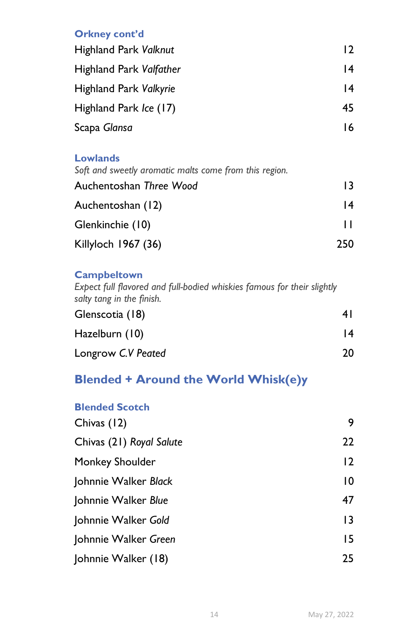## Orkney cont'd

| <b>Highland Park Valknut</b> | 12 |
|------------------------------|----|
| Highland Park Valfather      | 14 |
| Highland Park Valkyrie       | 14 |
| Highland Park Ice (17)       | 45 |
| Scapa Glansa                 | 16 |

#### **Lowlands**

Soft and sweetly aromatic malts come from this region. Auchentoshan Three Wood 13 Auchentoshan (12) 14 Glenkinchie (10) 11 Killyloch 1967 (36) 250

## **Campbeltown**

Expect full flavored and full-bodied whiskies famous for their slightly salty tang in the finish.

| Glenscotia (18)    | 4 I |  |
|--------------------|-----|--|
| Hazelburn (10)     | 14  |  |
| Longrow C.V Peated | 20  |  |

# Blended + Around the World Whisk(e)y

| <b>Blended Scotch</b>    |                |
|--------------------------|----------------|
| Chivas (12)              | 9              |
| Chivas (21) Royal Salute | 22             |
| Monkey Shoulder          | $\overline{2}$ |
| Johnnie Walker Black     | 10             |
| Johnnie Walker Blue      | 47             |
| Johnnie Walker Gold      | 13             |
| Johnnie Walker Green     | 15             |
| Johnnie Walker (18)      | 25             |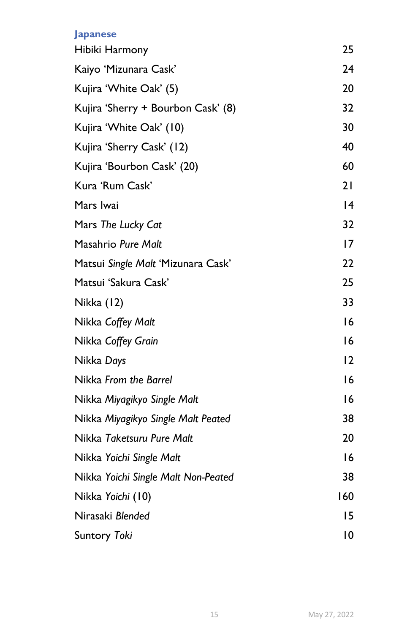## Japanese

| Hibiki Harmony                      | 25             |
|-------------------------------------|----------------|
| Kaiyo 'Mizunara Cask'               | 24             |
| Kujira 'White Oak' (5)              | 20             |
| Kujira 'Sherry + Bourbon Cask' (8)  | 32             |
| Kujira 'White Oak' (10)             | 30             |
| Kujira 'Sherry Cask' (12)           | 40             |
| Kujira 'Bourbon Cask' (20)          | 60             |
| Kura 'Rum Cask'                     | 21             |
| Mars Iwai                           | 4              |
| Mars The Lucky Cat                  | 32             |
| Masahrio Pure Malt                  | 17             |
| Matsui Single Malt 'Mizunara Cask'  | 22             |
| Matsui 'Sakura Cask'                | 25             |
| Nikka (12)                          | 33             |
| Nikka Coffey Malt                   | 16             |
| Nikka Coffey Grain                  | 16             |
| Nikka Days                          | $\overline{2}$ |
| Nikka From the Barrel               | 16             |
| Nikka Miyagikyo Single Malt         | 16             |
| Nikka Miyagikyo Single Malt Peated  | 38             |
| Nikka Taketsuru Pure Malt           | 20             |
| Nikka Yoichi Single Malt            | 16             |
| Nikka Yoichi Single Malt Non-Peated | 38             |
| Nikka Yoichi (10)                   | 160            |
| Nirasaki Blended                    | 15             |
| <b>Suntory Toki</b>                 | 10             |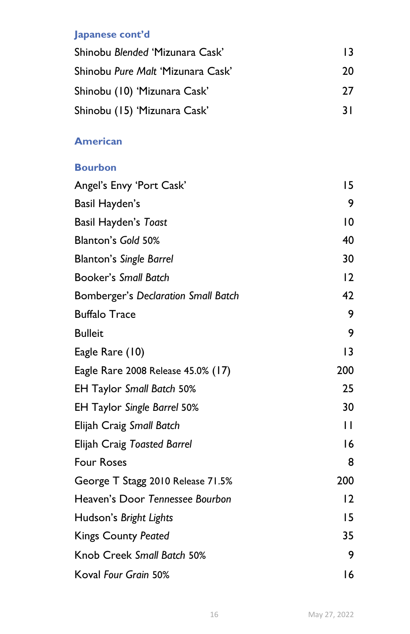# Japanese cont'd

| Shinobu Blended 'Mizunara Cask'   | 13 |  |
|-----------------------------------|----|--|
| Shinobu Pure Malt 'Mizunara Cask' | 20 |  |
| Shinobu (10) 'Mizunara Cask'      | 77 |  |
| Shinobu (15) 'Mizunara Cask'      | 31 |  |

# American

| <b>Bourbon</b>                      |              |
|-------------------------------------|--------------|
| Angel's Envy 'Port Cask'            | 15           |
| Basil Hayden's                      | 9            |
| Basil Hayden's Toast                | 10           |
| Blanton's Gold 50%                  | 40           |
| <b>Blanton's Single Barrel</b>      | 30           |
| <b>Booker's Small Batch</b>         | 12           |
| Bomberger's Declaration Small Batch | 42           |
| <b>Buffalo Trace</b>                | 9            |
| <b>Bulleit</b>                      | 9            |
| Eagle Rare (10)                     | 13           |
| Eagle Rare 2008 Release 45.0% (17)  | 200          |
| <b>EH Taylor Small Batch 50%</b>    | 25           |
| <b>EH Taylor Single Barrel 50%</b>  | 30           |
| Elijah Craig Small Batch            | $\mathbf{I}$ |
| Elijah Craig Toasted Barrel         | 16           |
| <b>Four Roses</b>                   | 8            |
| George T Stagg 2010 Release 71.5%   | 200          |
| Heaven's Door Tennessee Bourbon     | 12           |
| Hudson's Bright Lights              | 15           |
| <b>Kings County Peated</b>          | 35           |
| Knob Creek Small Batch 50%          | 9            |
| Koval Four Grain 50%                | 16           |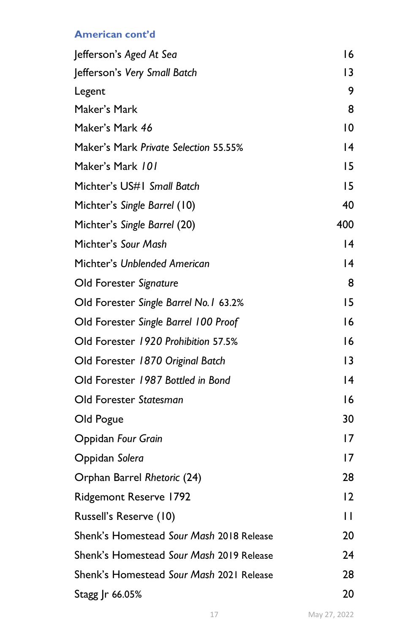# American cont'd

| Jefferson's Aged At Sea                  | 16  |
|------------------------------------------|-----|
| Jefferson's Very Small Batch             | 13  |
| Legent                                   | 9   |
| Maker's Mark                             | 8   |
| Maker's Mark 46                          | 10  |
| Maker's Mark Private Selection 55.55%    | 14  |
| Maker's Mark 101                         | 15  |
| Michter's US#1 Small Batch               | 15  |
| Michter's Single Barrel (10)             | 40  |
| Michter's Single Barrel (20)             | 400 |
| Michter's Sour Mash                      | 14  |
| Michter's Unblended American             | 14  |
| Old Forester Signature                   | 8   |
| Old Forester Single Barrel No. 1 63.2%   | 15  |
| Old Forester Single Barrel 100 Proof     | 16  |
| Old Forester 1920 Prohibition 57.5%      | 16  |
| Old Forester 1870 Original Batch         | 3   |
| Old Forester 1987 Bottled in Bond        | 14  |
| Old Forester Statesman                   | 16  |
| Old Pogue                                | 30  |
| Oppidan Four Grain                       | 17  |
| Oppidan Solera                           | 17  |
| Orphan Barrel Rhetoric (24)              | 28  |
| <b>Ridgemont Reserve 1792</b>            | 12  |
| Russell's Reserve (10)                   | П   |
| Shenk's Homestead Sour Mash 2018 Release | 20  |
| Shenk's Homestead Sour Mash 2019 Release | 24  |
| Shenk's Homestead Sour Mash 2021 Release | 28  |
| Stagg Jr 66.05%                          | 20  |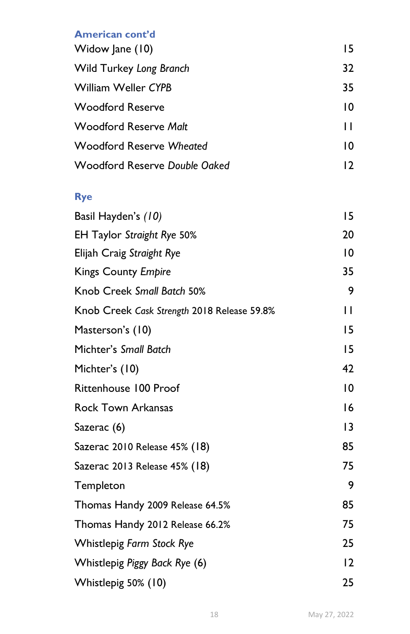# American cont'd

| Widow Jane (10)               | 15 |
|-------------------------------|----|
| Wild Turkey Long Branch       | 32 |
| William Weller CYPB           | 35 |
| <b>Woodford Reserve</b>       | 10 |
| Woodford Reserve Malt         | п  |
| Woodford Reserve Wheated      | 10 |
| Woodford Reserve Double Oaked | 17 |

# Rye

| Basil Hayden's (10)                         | 15             |
|---------------------------------------------|----------------|
| EH Taylor Straight Rye 50%                  | 20             |
| Elijah Craig Straight Rye                   | $\overline{0}$ |
| <b>Kings County Empire</b>                  | 35             |
| Knob Creek Small Batch 50%                  | 9              |
| Knob Creek Cask Strength 2018 Release 59.8% | П              |
| Masterson's (10)                            | 15             |
| Michter's Small Batch                       | 15             |
| Michter's (10)                              | 42             |
| Rittenhouse 100 Proof                       | $\overline{0}$ |
| <b>Rock Town Arkansas</b>                   | 16             |
| Sazerac (6)                                 | 3              |
| Sazerac 2010 Release 45% (18)               | 85             |
| Sazerac 2013 Release 45% (18)               | 75             |
| Templeton                                   | 9              |
| Thomas Handy 2009 Release 64.5%             | 85             |
| Thomas Handy 2012 Release 66.2%             | 75             |
| Whistlepig Farm Stock Rye                   | 25             |
| Whistlepig Piggy Back Rye (6)               | 12             |
| Whistlepig 50% (10)                         | 25             |
|                                             |                |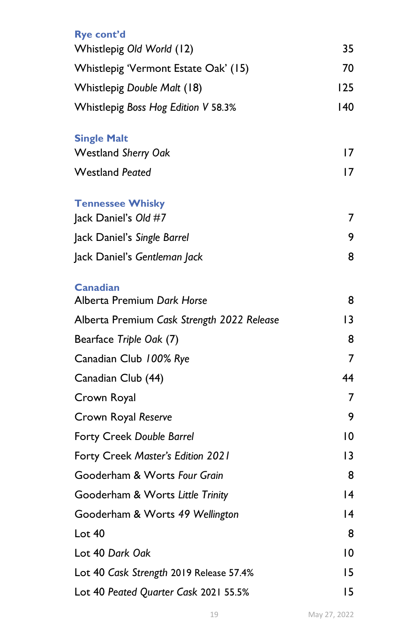| Rye cont'd                                    |     |
|-----------------------------------------------|-----|
| Whistlepig Old World (12)                     | 35  |
| Whistlepig 'Vermont Estate Oak' (15)          | 70  |
| Whistlepig Double Malt (18)                   | 125 |
| Whistlepig Boss Hog Edition V 58.3%           | 140 |
| <b>Single Malt</b>                            |     |
| <b>Westland Sherry Oak</b>                    | 17  |
| <b>Westland Peated</b>                        | 17  |
| <b>Tennessee Whisky</b>                       |     |
| Jack Daniel's Old #7                          | 7   |
| Jack Daniel's Single Barrel                   | 9   |
| Jack Daniel's Gentleman Jack                  | 8   |
| <b>Canadian</b><br>Alberta Premium Dark Horse | 8   |
|                                               |     |
| Alberta Premium Cask Strength 2022 Release    | 13  |
| Bearface Triple Oak (7)                       | 8   |
| Canadian Club 100% Rye                        | 7   |
| Canadian Club (44)                            | 44  |
| Crown Royal                                   | 7   |
| Crown Royal Reserve                           | 9   |
| <b>Forty Creek Double Barrel</b>              | 10  |
| Forty Creek Master's Edition 2021             | 13  |
| Gooderham & Worts Four Grain                  | 8   |
| Gooderham & Worts Little Trinity              | 14  |
| Gooderham & Worts 49 Wellington               | 14  |
| Lot 40                                        | 8   |
| Lot 40 Dark Oak                               | 10  |
| Lot 40 Cask Strength 2019 Release 57.4%       | 15  |
| Lot 40 Peated Quarter Cask 2021 55.5%         | 15  |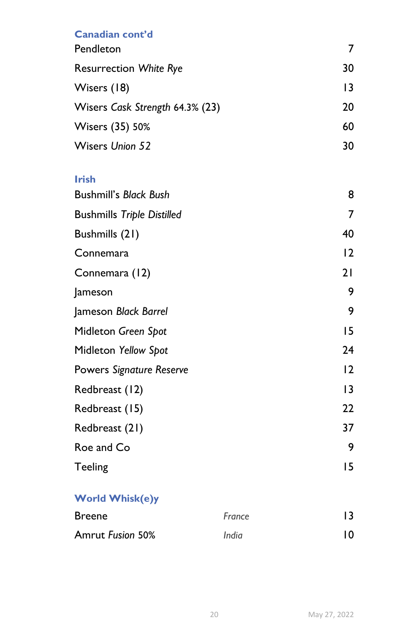# Canadian cont'd

| Pendleton                       |    |
|---------------------------------|----|
| <b>Resurrection White Rye</b>   | 30 |
| Wisers (18)                     | 13 |
| Wisers Cask Strength 64.3% (23) | 20 |
| Wisers (35) 50%                 | 60 |
| <b>Wisers Union 52</b>          | 30 |

## Irish

| <b>Bushmill's Black Bush</b>      | 8  |
|-----------------------------------|----|
| <b>Bushmills Triple Distilled</b> | 7  |
| Bushmills (21)                    | 40 |
| Connemara                         | 2  |
| Connemara (12)                    | 21 |
| Jameson                           | 9  |
| Jameson Black Barrel              | 9  |
| Midleton Green Spot               | 15 |
| Midleton Yellow Spot              | 24 |
| Powers Signature Reserve          | 12 |
| Redbreast (12)                    | 13 |
| Redbreast (15)                    | 22 |
| Redbreast (21)                    | 37 |
| Roe and Co                        | 9  |
| <b>Teeling</b>                    | 15 |

# World Whisk(e)y

| <b>Breene</b>           | France |    |
|-------------------------|--------|----|
| <b>Amrut Fusion 50%</b> | India  | 10 |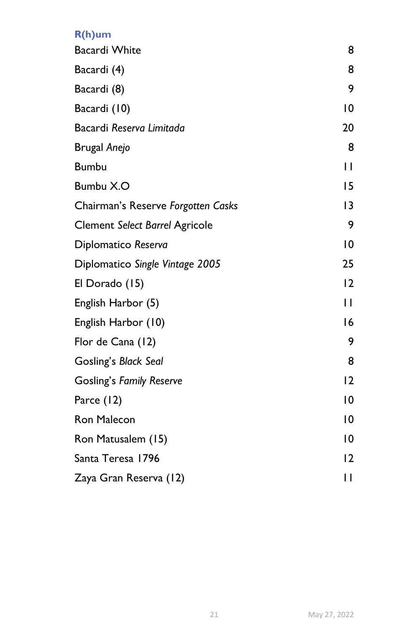# R(h)um

| <b>Bacardi White</b>                  | 8              |
|---------------------------------------|----------------|
| Bacardi (4)                           | 8              |
| Bacardi (8)                           | 9              |
| Bacardi (10)                          | 10             |
| Bacardi Reserva Limitada              | 20             |
| <b>Brugal Anejo</b>                   | 8              |
| <b>Bumbu</b>                          | П              |
| Bumbu X.O                             | 15             |
| Chairman's Reserve Forgotten Casks    | 13             |
| <b>Clement Select Barrel Agricole</b> | 9              |
| Diplomatico Reserva                   | $\overline{0}$ |
| Diplomatico Single Vintage 2005       | 25             |
| El Dorado (15)                        | 12             |
| English Harbor (5)                    | $\mathbf{H}$   |
| English Harbor (10)                   | 16             |
| Flor de Cana (12)                     | 9              |
| Gosling's Black Seal                  | 8              |
| <b>Gosling's Family Reserve</b>       | 12             |
| Parce (12)                            | $\overline{0}$ |
| Ron Malecon                           | 10             |
| Ron Matusalem (15)                    | 10             |
| Santa Teresa 1796                     | $\overline{2}$ |
| Zaya Gran Reserva (12)                | П              |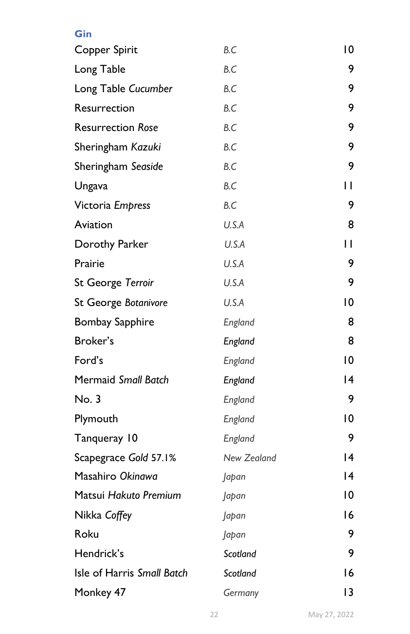| Gin                        |             |                |
|----------------------------|-------------|----------------|
| Copper Spirit              | B.C         | $\overline{0}$ |
| Long Table                 | B.C         | 9              |
| Long Table Cucumber        | B.C         | 9              |
| Resurrection               | B.C         | 9              |
| <b>Resurrection Rose</b>   | B.C         | 9              |
| Sheringham Kazuki          | B.C         | 9              |
| Sheringham Seaside         | B.C         | 9              |
| Ungava                     | B.C         | П              |
| Victoria Empress           | B.C         | 9              |
| Aviation                   | U.S.A       | 8              |
| Dorothy Parker             | U.S.A       | П              |
| Prairie                    | U.S.A       | 9              |
| St George Terroir          | U.S.A       | 9              |
| St George Botanivore       | U.S.A       | $\overline{0}$ |
| <b>Bombay Sapphire</b>     | England     | 8              |
| Broker's                   | England     | 8              |
| Ford's                     | England     | $\overline{0}$ |
| Mermaid Small Batch        | England     | 14             |
| No. 3                      | England     | 9              |
| Plymouth                   | England     | 10             |
| Tanqueray 10               | England     | 9              |
| Scapegrace Gold 57.1%      | New Zealand | 14             |
| Masahiro Okinawa           | Japan       | 14             |
| Matsui Hakuto Premium      | Japan       | 10             |
| Nikka Coffey               | Japan       | 16             |
| Roku                       | Japan       | 9              |
| Hendrick's                 | Scotland    | 9              |
| Isle of Harris Small Batch | Scotland    | 16             |
| Monkey 47                  | Germany     | $\overline{3}$ |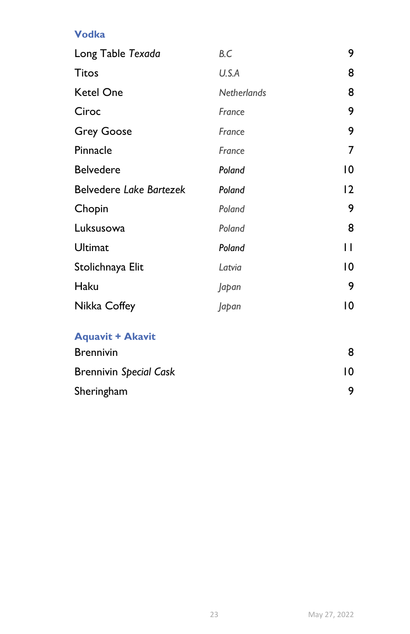Vodka

| Long Table Texada       | B.C                | 9  |
|-------------------------|--------------------|----|
| <b>Titos</b>            | U.S.A              | 8  |
| <b>Ketel One</b>        | <b>Netherlands</b> | 8  |
| Ciroc                   | France             | 9  |
| <b>Grey Goose</b>       | France             | 9  |
| Pinnacle                | France             | 7  |
| <b>Belvedere</b>        | Poland             | 10 |
| Belvedere Lake Bartezek | Poland             | 12 |
| Chopin                  | Poland             | 9  |
| Luksusowa               | Poland             | 8  |
| Ultimat                 | Poland             | П  |
| Stolichnaya Elit        | Latvia             | 10 |
| Haku                    | Japan              | 9  |
| Nikka Coffey            | Japan              | 10 |
| <b>Aquavit + Akavit</b> |                    |    |

| <b>Brennivin</b>              |    |  |
|-------------------------------|----|--|
| <b>Brennivin Special Cask</b> | 10 |  |
| Sheringham                    |    |  |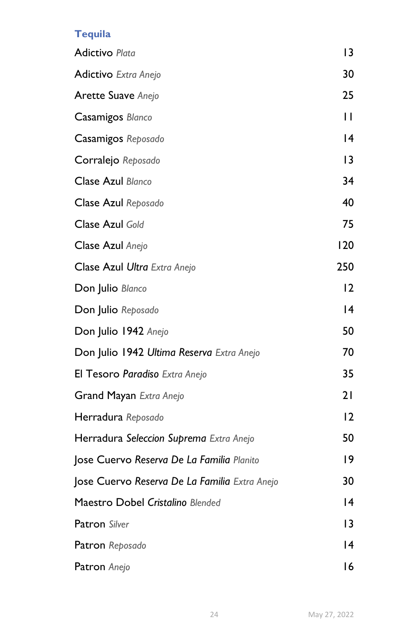# **Tequila**

| <b>Adictivo Plata</b>                         | 13              |
|-----------------------------------------------|-----------------|
| <b>Adictivo</b> Extra Anejo                   | 30              |
| <b>Arette Suave Anejo</b>                     | 25              |
| Casamigos Blanco                              | $\mathbf{H}$    |
| Casamigos Reposado                            | 14              |
| Corralejo Reposado                            | 3               |
| Clase Azul Blanco                             | 34              |
| Clase Azul Reposado                           | 40              |
| Clase Azul Gold                               | 75              |
| Clase Azul Anejo                              | 120             |
| Clase Azul Ultra Extra Anejo                  | 250             |
| Don Julio Blanco                              | 12              |
| Don Julio Reposado                            | $\overline{14}$ |
| Don Julio 1942 Anejo                          | 50              |
| Don Julio 1942 Ultima Reserva Extra Anejo     | 70              |
| El Tesoro Paradiso Extra Anejo                | 35              |
| Grand Mayan Extra Anejo                       | 21              |
| Herradura Reposado                            | 12              |
| Herradura Seleccion Suprema Extra Anejo       | 50              |
| Jose Cuervo Reserva De La Familia Planito     | 19              |
| Jose Cuervo Reserva De La Familia Extra Anejo | 30              |
| Maestro Dobel Cristalino Blended              | 14              |
| <b>Patron</b> Silver                          | 13              |
| Patron Reposado                               | 14              |
| Patron Anejo                                  | 16              |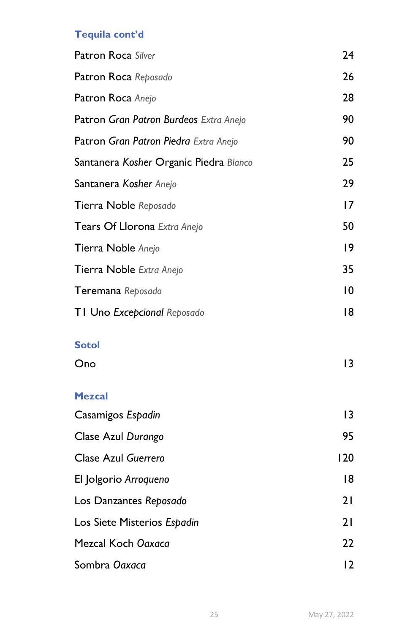# Tequila cont'd

| Patron Roca Silver                     | 24  |
|----------------------------------------|-----|
| Patron Roca Reposado                   | 26  |
| Patron Roca Anejo                      | 28  |
| Patron Gran Patron Burdeos Extra Anejo | 90  |
| Patron Gran Patron Piedra Extra Anejo  | 90  |
| Santanera Kosher Organic Piedra Blanco | 25  |
| Santanera Kosher Anejo                 | 29  |
| Tierra Noble Reposado                  | 17  |
| Tears Of Llorona Extra Anejo           | 50  |
| Tierra Noble Anejo                     | 9   |
| Tierra Noble Extra Anejo               | 35  |
| Teremana Reposado                      | 10  |
| TI Uno Excepcional Reposado            | 18  |
| <b>Sotol</b>                           |     |
| Ono                                    | 3   |
| <b>Mezcal</b>                          |     |
| Casamigos Espadin                      | 3   |
| Clase Azul Durango                     | 95  |
| Clase Azul Guerrero                    | 120 |
| El Jolgorio Arroqueno                  | 18  |
| Los Danzantes Reposado                 | 21  |
| Los Siete Misterios Espadin            | 21  |
| Mezcal Koch Ogxaca                     | 22  |
| Sombra Oaxaca                          | 12  |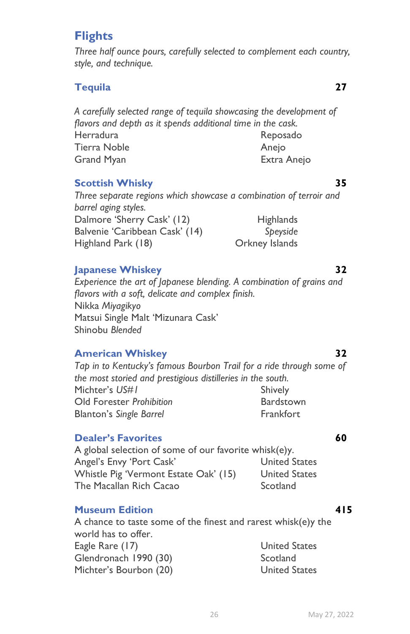# **Flights**

Three half ounce pours, carefully selected to complement each country, style, and technique.

## Tequila 27

A carefully selected range of tequila showcasing the development of flavors and depth as it spends additional time in the cask. Herradura Reposado Tierra Noble **Anelo** Anejo Grand Myan Extra Anejo

#### **Scottish Whisky** 35

Three separate regions which showcase a combination of terroir and barrel aging styles. Dalmore 'Sherry Cask' (12) Highlands Balvenie 'Caribbean Cask' (14) Speyside Highland Park (18) Orkney Islands

#### Japanese Whiskey 32

Experience the art of Japanese blending. A combination of grains and flavors with a soft, delicate and complex finish. Nikka Miyagikyo Matsui Single Malt 'Mizunara Cask' Shinobu Blended

#### American Whiskey 32

Tap in to Kentucky's famous Bourbon Trail for a ride through some of the most storied and prestigious distilleries in the south. Michter's US#1 Shively Old Forester Prohibition **Bardstown** Blanton's Single Barrel Frankfort

#### **Dealer's Favorites 60**

A global selection of some of our favorite whisk(e)y. Angel's Envy 'Port Cask' United States Whistle Pig 'Vermont Estate Oak' (15) United States The Macallan Rich Cacao Scotland

#### Museum Edition **415**

A chance to taste some of the finest and rarest whisk(e)y the world has to offer. Eagle Rare (17) United States Glendronach 1990 (30) Scotland Michter's Bourbon (20) United States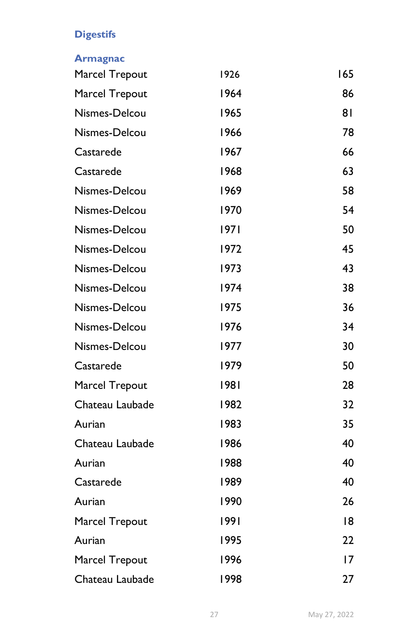# **Digestifs**

## Armagnac

| Marcel Trepout  | 1926 | 165 |
|-----------------|------|-----|
| Marcel Trepout  | 1964 | 86  |
| Nismes-Delcou   | 1965 | 81  |
| Nismes-Delcou   | 1966 | 78  |
| Castarede       | 1967 | 66  |
| Castarede       | 1968 | 63  |
| Nismes-Delcou   | 1969 | 58  |
| Nismes-Delcou   | 1970 | 54  |
| Nismes-Delcou   | 1971 | 50  |
| Nismes-Delcou   | 1972 | 45  |
| Nismes-Delcou   | 1973 | 43  |
| Nismes-Delcou   | 1974 | 38  |
| Nismes-Delcou   | 1975 | 36  |
| Nismes-Delcou   | 1976 | 34  |
| Nismes-Delcou   | 1977 | 30  |
| Castarede       | 1979 | 50  |
| Marcel Trepout  | 1981 | 28  |
| Chateau Laubade | 1982 | 32  |
| Aurian          | 1983 | 35  |
| Chateau Laubade | 1986 | 40  |
| Aurian          | 1988 | 40  |
| Castarede       | 1989 | 40  |
| Aurian          | 1990 | 26  |
| Marcel Trepout  | 1991 | 18  |
| Aurian          | 1995 | 22  |
| Marcel Trepout  | 1996 | 17  |
| Chateau Laubade | 1998 | 27  |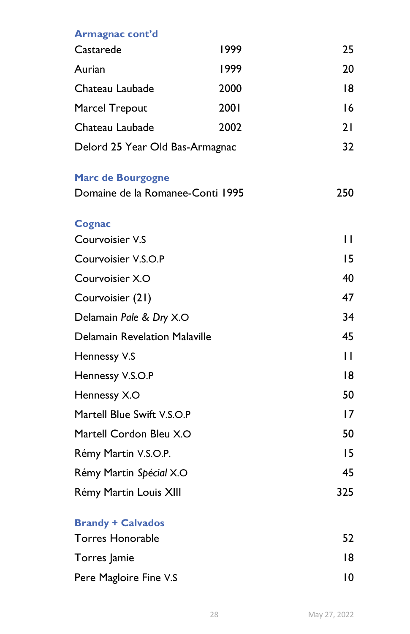| Armagnac cont'd                      |      |              |
|--------------------------------------|------|--------------|
| Castarede                            | 1999 | 25           |
| Aurian                               | 1999 | 20           |
| Chateau Laubade                      | 2000 | 18           |
| Marcel Trepout                       | 2001 | 16           |
| Chateau Laubade                      | 2002 | 21           |
| Delord 25 Year Old Bas-Armagnac      |      | 32           |
| <b>Marc de Bourgogne</b>             |      |              |
| Domaine de la Romanee-Conti 1995     |      | 250          |
| <b>Cognac</b>                        |      |              |
| Courvoisier V.S                      |      | П            |
| Courvoisier V.S.O.P                  |      | 15           |
| Courvoisier X.O                      |      | 40           |
| Courvoisier (21)                     |      | 47           |
| Delamain Pale & Dry X.O              |      | 34           |
| <b>Delamain Revelation Malaville</b> |      | 45           |
| Hennessy V.S                         |      | $\mathsf{L}$ |
| Hennessy V.S.O.P                     |      | 18           |
| Hennessy X.O                         |      | 50           |
| Martell Blue Swift V.S.O.P           |      | 17           |
| Martell Cordon Bleu X.O              |      | 50           |
| Rémy Martin V.S.O.P.                 |      | 15           |
| Rémy Martin Spécial X.O              |      | 45           |
| Rémy Martin Louis XIII               |      | 325          |
| <b>Brandy + Calvados</b>             |      |              |
| <b>Torres Honorable</b>              |      | 52           |
| Torres Jamie                         |      | 18           |
| Pere Magloire Fine V.S               |      | 10           |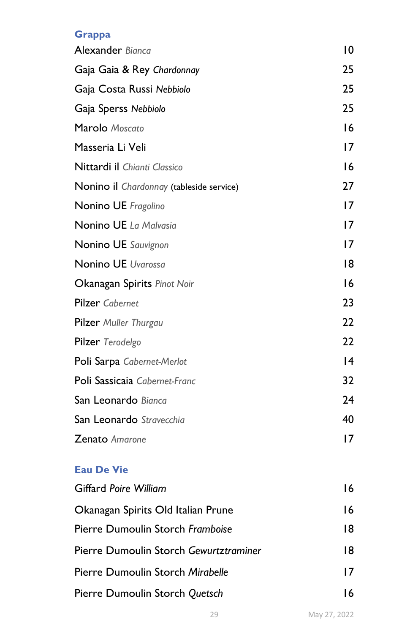# **Grappa**

| Alexander Bianca                         | 10 |
|------------------------------------------|----|
| Gaja Gaia & Rey Chardonnay               | 25 |
| Gaja Costa Russi Nebbiolo                | 25 |
| Gaja Sperss Nebbiolo                     | 25 |
| Marolo Moscato                           | 16 |
| Masseria Li Veli                         | 17 |
| Nittardi il Chianti Classico             | 16 |
| Nonino il Chardonnay (tableside service) | 27 |
| Nonino UE Fragolino                      | 17 |
| Nonino UE La Malvasia                    | 17 |
| Nonino UE Sauvignon                      | 17 |
| Nonino UE Uvarossa                       | 18 |
| Okanagan Spirits Pinot Noir              | 16 |
| <b>Pilzer</b> Cabernet                   | 23 |
| Pilzer Muller Thurgau                    | 22 |
| Pilzer Terodelgo                         | 22 |
| Poli Sarpa Cabernet-Merlot               | 14 |
| Poli Sassicaia Cabernet-Franc            | 32 |
| San Leonardo Bianca                      | 24 |
| San Leonardo Stravecchia                 | 40 |
| <b>Zenato</b> Amarone                    | 17 |
| <b>Eau De Vie</b>                        |    |
| <b>Giffard Poire William</b>             | 16 |
| Okanagan Spirits Old Italian Prune       | 16 |
| Pierre Dumoulin Storch Framboise         | 18 |
| Pierre Dumoulin Storch Gewurtztraminer   | 18 |
| Pierre Dumoulin Storch Mirabelle         | 17 |
| Pierre Dumoulin Storch Quetsch           | 16 |
|                                          |    |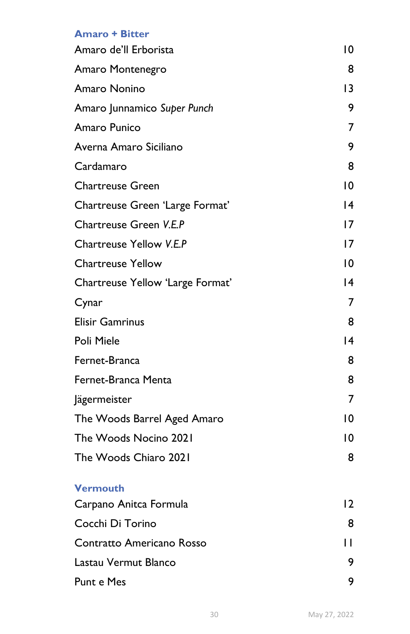#### Amaro + Bitter

| Amaro de'll Erborista            | 10              |
|----------------------------------|-----------------|
| Amaro Montenegro                 | 8               |
| Amaro Nonino                     | 13              |
| Amaro Junnamico Super Punch      | 9               |
| Amaro Punico                     | 7               |
| Averna Amaro Siciliano           | 9               |
| Cardamaro                        | 8               |
| <b>Chartreuse Green</b>          | 10              |
| Chartreuse Green 'Large Format'  | $\overline{14}$ |
| Chartreuse Green V.E.P           | 17              |
| Chartreuse Yellow V.E.P          | 17              |
| <b>Chartreuse Yellow</b>         | $\overline{10}$ |
| Chartreuse Yellow 'Large Format' | $\overline{14}$ |
| Cynar                            | $\overline{7}$  |
| <b>Elisir Gamrinus</b>           | 8               |
| Poli Miele                       | 14              |
| Fernet-Branca                    | 8               |
| Fernet-Branca Menta              | 8               |
| Jägermeister                     | 7               |
| The Woods Barrel Aged Amaro      | 10              |
| The Woods Nocino 2021            | $\overline{10}$ |
| The Woods Chiaro 2021            | 8               |
| <b>Vermouth</b>                  |                 |
| Carpano Anitca Formula           | 12              |
| Cocchi Di Torino                 | 8               |
| Contratto Americano Rosso        | П               |
| Lastau Vermut Blanco             | 9               |
| Punt e Mes                       | 9               |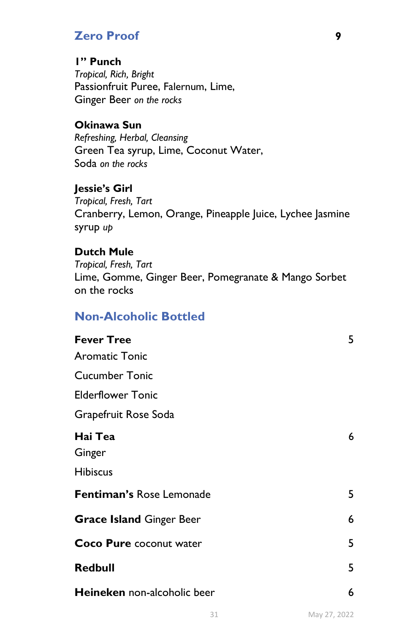# Zero Proof 9

## 1" Punch

Tropical, Rich, Bright Passionfruit Puree, Falernum, Lime, Ginger Beer on the rocks

## Okinawa Sun

Refreshing, Herbal, Cleansing Green Tea syrup, Lime, Coconut Water, Soda on the rocks

Jessie's Girl Tropical, Fresh, Tart Cranberry, Lemon, Orange, Pineapple Juice, Lychee Jasmine syrup up

### Dutch Mule

Tropical, Fresh, Tart Lime, Gomme, Ginger Beer, Pomegranate & Mango Sorbet on the rocks

# Non-Alcoholic Bottled

| <b>Fever Tree</b>                    | 5 |
|--------------------------------------|---|
| <b>Aromatic Tonic</b>                |   |
| <b>Cucumber Tonic</b>                |   |
| <b>Elderflower Tonic</b>             |   |
| Grapefruit Rose Soda                 |   |
| Hai Tea<br>Ginger<br><b>Hibiscus</b> | 6 |
|                                      |   |
| Fentiman's Rose Lemonade             | 5 |
| <b>Grace Island Ginger Beer</b>      | 6 |
| <b>Coco Pure coconut water</b>       | 5 |
| <b>Redbull</b>                       | 5 |
| <b>Heineken</b> non-alcoholic beer   | 6 |
|                                      |   |